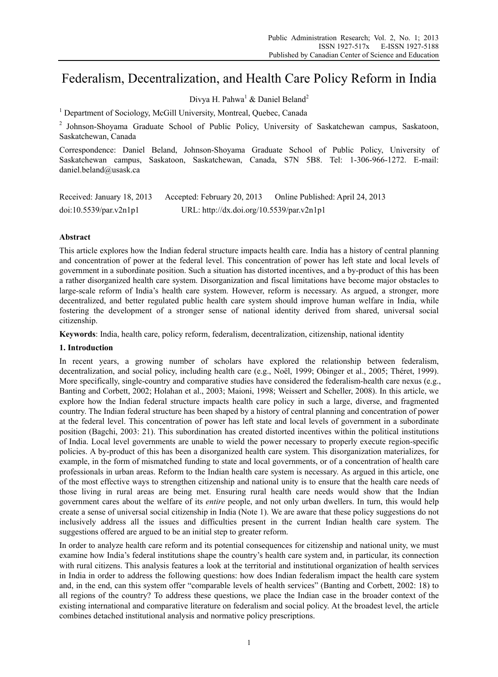# Federalism, Decentralization, and Health Care Policy Reform in India

Divya H. Pahwa<sup>1</sup> & Daniel Beland<sup>2</sup>

<sup>1</sup> Department of Sociology, McGill University, Montreal, Quebec, Canada

<sup>2</sup> Johnson-Shoyama Graduate School of Public Policy, University of Saskatchewan campus, Saskatoon, Saskatchewan, Canada

Correspondence: Daniel Beland, Johnson-Shoyama Graduate School of Public Policy, University of Saskatchewan campus, Saskatoon, Saskatchewan, Canada, S7N 5B8. Tel: 1-306-966-1272. E-mail: daniel.beland@usask.ca

| Received: January 18, 2013 | Accepted: February 20, 2013               | Online Published: April 24, 2013 |
|----------------------------|-------------------------------------------|----------------------------------|
| doi:10.5539/par.v2n1p1     | URL: http://dx.doi.org/10.5539/par.v2n1p1 |                                  |

# **Abstract**

This article explores how the Indian federal structure impacts health care. India has a history of central planning and concentration of power at the federal level. This concentration of power has left state and local levels of government in a subordinate position. Such a situation has distorted incentives, and a by-product of this has been a rather disorganized health care system. Disorganization and fiscal limitations have become major obstacles to large-scale reform of India's health care system. However, reform is necessary. As argued, a stronger, more decentralized, and better regulated public health care system should improve human welfare in India, while fostering the development of a stronger sense of national identity derived from shared, universal social citizenship.

**Keywords**: India, health care, policy reform, federalism, decentralization, citizenship, national identity

# **1. Introduction**

In recent years, a growing number of scholars have explored the relationship between federalism, decentralization, and social policy, including health care (e.g., Noël, 1999; Obinger et al., 2005; Théret, 1999). More specifically, single-country and comparative studies have considered the federalism-health care nexus (e.g., Banting and Corbett, 2002; Holahan et al., 2003; Maioni, 1998; Weissert and Scheller, 2008). In this article, we explore how the Indian federal structure impacts health care policy in such a large, diverse, and fragmented country. The Indian federal structure has been shaped by a history of central planning and concentration of power at the federal level. This concentration of power has left state and local levels of government in a subordinate position (Bagchi, 2003: 21). This subordination has created distorted incentives within the political institutions of India. Local level governments are unable to wield the power necessary to properly execute region-specific policies. A by-product of this has been a disorganized health care system. This disorganization materializes, for example, in the form of mismatched funding to state and local governments, or of a concentration of health care professionals in urban areas. Reform to the Indian health care system is necessary. As argued in this article, one of the most effective ways to strengthen citizenship and national unity is to ensure that the health care needs of those living in rural areas are being met. Ensuring rural health care needs would show that the Indian government cares about the welfare of its *entire* people, and not only urban dwellers. In turn, this would help create a sense of universal social citizenship in India (Note 1). We are aware that these policy suggestions do not inclusively address all the issues and difficulties present in the current Indian health care system. The suggestions offered are argued to be an initial step to greater reform.

In order to analyze health care reform and its potential consequences for citizenship and national unity, we must examine how India's federal institutions shape the country's health care system and, in particular, its connection with rural citizens. This analysis features a look at the territorial and institutional organization of health services in India in order to address the following questions: how does Indian federalism impact the health care system and, in the end, can this system offer "comparable levels of health services" (Banting and Corbett, 2002: 18) to all regions of the country? To address these questions, we place the Indian case in the broader context of the existing international and comparative literature on federalism and social policy. At the broadest level, the article combines detached institutional analysis and normative policy prescriptions.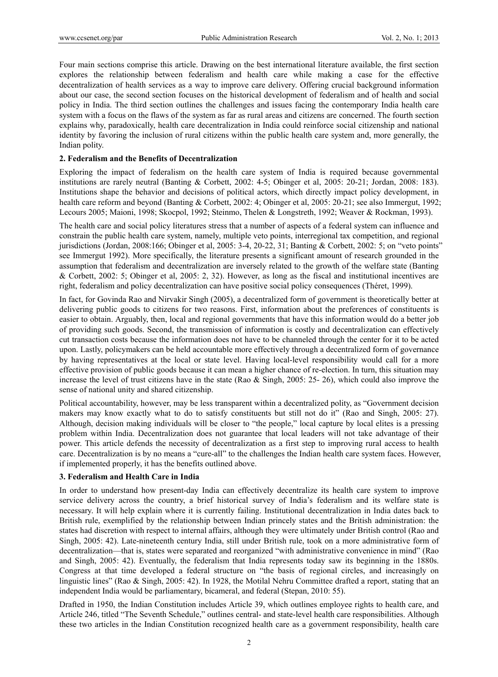Four main sections comprise this article. Drawing on the best international literature available, the first section explores the relationship between federalism and health care while making a case for the effective decentralization of health services as a way to improve care delivery. Offering crucial background information about our case, the second section focuses on the historical development of federalism and of health and social policy in India. The third section outlines the challenges and issues facing the contemporary India health care system with a focus on the flaws of the system as far as rural areas and citizens are concerned. The fourth section explains why, paradoxically, health care decentralization in India could reinforce social citizenship and national identity by favoring the inclusion of rural citizens within the public health care system and, more generally, the Indian polity.

# **2. Federalism and the Benefits of Decentralization**

Exploring the impact of federalism on the health care system of India is required because governmental institutions are rarely neutral (Banting & Corbett, 2002: 4-5; Obinger et al, 2005: 20-21; Jordan, 2008: 183). Institutions shape the behavior and decisions of political actors, which directly impact policy development, in health care reform and beyond (Banting & Corbett, 2002: 4; Obinger et al, 2005: 20-21; see also Immergut, 1992; Lecours 2005; Maioni, 1998; Skocpol, 1992; Steinmo, Thelen & Longstreth, 1992; Weaver & Rockman, 1993).

The health care and social policy literatures stress that a number of aspects of a federal system can influence and constrain the public health care system, namely, multiple veto points, interregional tax competition, and regional jurisdictions (Jordan, 2008:166; Obinger et al, 2005: 3-4, 20-22, 31; Banting & Corbett, 2002: 5; on "veto points" see Immergut 1992). More specifically, the literature presents a significant amount of research grounded in the assumption that federalism and decentralization are inversely related to the growth of the welfare state (Banting & Corbett, 2002: 5; Obinger et al, 2005: 2, 32). However, as long as the fiscal and institutional incentives are right, federalism and policy decentralization can have positive social policy consequences (Théret, 1999).

In fact, for Govinda Rao and Nirvakir Singh (2005), a decentralized form of government is theoretically better at delivering public goods to citizens for two reasons. First, information about the preferences of constituents is easier to obtain. Arguably, then, local and regional governments that have this information would do a better job of providing such goods. Second, the transmission of information is costly and decentralization can effectively cut transaction costs because the information does not have to be channeled through the center for it to be acted upon. Lastly, policymakers can be held accountable more effectively through a decentralized form of governance by having representatives at the local or state level. Having local-level responsibility would call for a more effective provision of public goods because it can mean a higher chance of re-election. In turn, this situation may increase the level of trust citizens have in the state (Rao & Singh, 2005: 25- 26), which could also improve the sense of national unity and shared citizenship.

Political accountability, however, may be less transparent within a decentralized polity, as "Government decision makers may know exactly what to do to satisfy constituents but still not do it" (Rao and Singh, 2005: 27). Although, decision making individuals will be closer to "the people," local capture by local elites is a pressing problem within India. Decentralization does not guarantee that local leaders will not take advantage of their power. This article defends the necessity of decentralization as a first step to improving rural access to health care. Decentralization is by no means a "cure-all" to the challenges the Indian health care system faces. However, if implemented properly, it has the benefits outlined above.

## **3. Federalism and Health Care in India**

In order to understand how present-day India can effectively decentralize its health care system to improve service delivery across the country, a brief historical survey of India's federalism and its welfare state is necessary. It will help explain where it is currently failing. Institutional decentralization in India dates back to British rule, exemplified by the relationship between Indian princely states and the British administration: the states had discretion with respect to internal affairs, although they were ultimately under British control (Rao and Singh, 2005: 42). Late-nineteenth century India, still under British rule, took on a more administrative form of decentralization—that is, states were separated and reorganized "with administrative convenience in mind" (Rao and Singh, 2005: 42). Eventually, the federalism that India represents today saw its beginning in the 1880s. Congress at that time developed a federal structure on "the basis of regional circles, and increasingly on linguistic lines" (Rao & Singh, 2005: 42). In 1928, the Motilal Nehru Committee drafted a report, stating that an independent India would be parliamentary, bicameral, and federal (Stepan, 2010: 55).

Drafted in 1950, the Indian Constitution includes Article 39, which outlines employee rights to health care, and Article 246, titled "The Seventh Schedule," outlines central- and state-level health care responsibilities. Although these two articles in the Indian Constitution recognized health care as a government responsibility, health care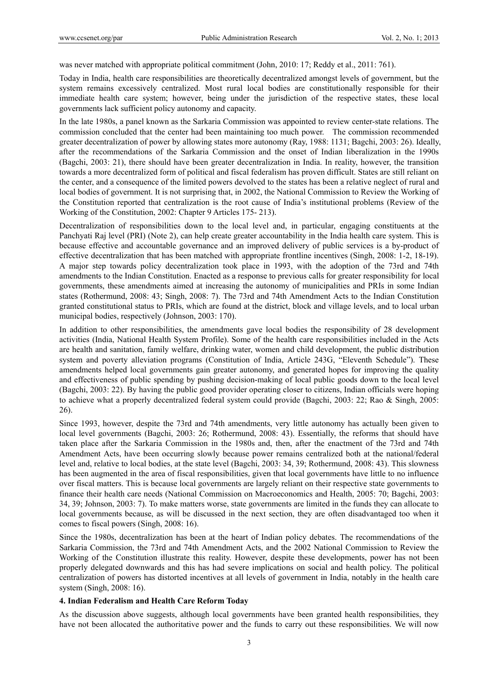was never matched with appropriate political commitment (John, 2010: 17; Reddy et al., 2011: 761).

Today in India, health care responsibilities are theoretically decentralized amongst levels of government, but the system remains excessively centralized. Most rural local bodies are constitutionally responsible for their immediate health care system; however, being under the jurisdiction of the respective states, these local governments lack sufficient policy autonomy and capacity.

In the late 1980s, a panel known as the Sarkaria Commission was appointed to review center-state relations. The commission concluded that the center had been maintaining too much power. The commission recommended greater decentralization of power by allowing states more autonomy (Ray, 1988: 1131; Bagchi, 2003: 26). Ideally, after the recommendations of the Sarkaria Commission and the onset of Indian liberalization in the 1990s (Bagchi, 2003: 21), there should have been greater decentralization in India. In reality, however, the transition towards a more decentralized form of political and fiscal federalism has proven difficult. States are still reliant on the center, and a consequence of the limited powers devolved to the states has been a relative neglect of rural and local bodies of government. It is not surprising that, in 2002, the National Commission to Review the Working of the Constitution reported that centralization is the root cause of India's institutional problems (Review of the Working of the Constitution, 2002: Chapter 9 Articles 175- 213).

Decentralization of responsibilities down to the local level and, in particular, engaging constituents at the Panchyati Raj level (PRI) (Note 2), can help create greater accountability in the India health care system. This is because effective and accountable governance and an improved delivery of public services is a by-product of effective decentralization that has been matched with appropriate frontline incentives (Singh, 2008: 1-2, 18-19). A major step towards policy decentralization took place in 1993, with the adoption of the 73rd and 74th amendments to the Indian Constitution. Enacted as a response to previous calls for greater responsibility for local governments, these amendments aimed at increasing the autonomy of municipalities and PRIs in some Indian states (Rothermund, 2008: 43; Singh, 2008: 7). The 73rd and 74th Amendment Acts to the Indian Constitution granted constitutional status to PRIs, which are found at the district, block and village levels, and to local urban municipal bodies, respectively (Johnson, 2003: 170).

In addition to other responsibilities, the amendments gave local bodies the responsibility of 28 development activities (India, National Health System Profile). Some of the health care responsibilities included in the Acts are health and sanitation, family welfare, drinking water, women and child development, the public distribution system and poverty alleviation programs (Constitution of India, Article 243G, "Eleventh Schedule"). These amendments helped local governments gain greater autonomy, and generated hopes for improving the quality and effectiveness of public spending by pushing decision-making of local public goods down to the local level (Bagchi, 2003: 22). By having the public good provider operating closer to citizens, Indian officials were hoping to achieve what a properly decentralized federal system could provide (Bagchi, 2003: 22; Rao & Singh, 2005: 26).

Since 1993, however, despite the 73rd and 74th amendments, very little autonomy has actually been given to local level governments (Bagchi, 2003: 26; Rothermund, 2008: 43). Essentially, the reforms that should have taken place after the Sarkaria Commission in the 1980s and, then, after the enactment of the 73rd and 74th Amendment Acts, have been occurring slowly because power remains centralized both at the national/federal level and, relative to local bodies, at the state level (Bagchi, 2003: 34, 39; Rothermund, 2008: 43). This slowness has been augmented in the area of fiscal responsibilities, given that local governments have little to no influence over fiscal matters. This is because local governments are largely reliant on their respective state governments to finance their health care needs (National Commission on Macroeconomics and Health, 2005: 70; Bagchi, 2003: 34, 39; Johnson, 2003: 7). To make matters worse, state governments are limited in the funds they can allocate to local governments because, as will be discussed in the next section, they are often disadvantaged too when it comes to fiscal powers (Singh, 2008: 16).

Since the 1980s, decentralization has been at the heart of Indian policy debates. The recommendations of the Sarkaria Commission, the 73rd and 74th Amendment Acts, and the 2002 National Commission to Review the Working of the Constitution illustrate this reality. However, despite these developments, power has not been properly delegated downwards and this has had severe implications on social and health policy. The political centralization of powers has distorted incentives at all levels of government in India, notably in the health care system (Singh, 2008: 16).

## **4. Indian Federalism and Health Care Reform Today**

As the discussion above suggests, although local governments have been granted health responsibilities, they have not been allocated the authoritative power and the funds to carry out these responsibilities. We will now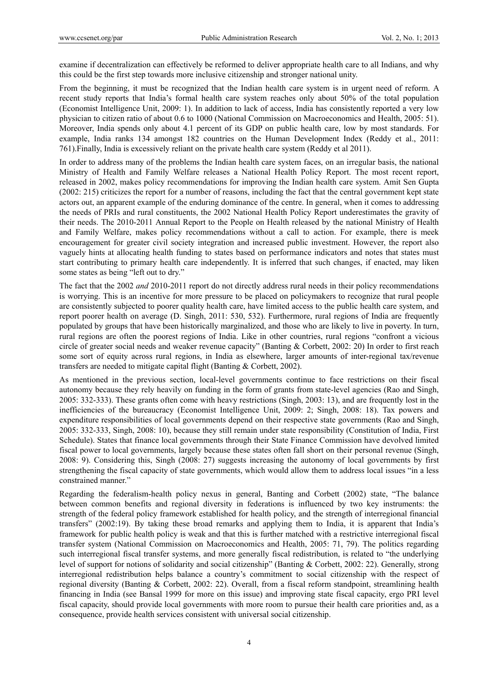examine if decentralization can effectively be reformed to deliver appropriate health care to all Indians, and why this could be the first step towards more inclusive citizenship and stronger national unity.

From the beginning, it must be recognized that the Indian health care system is in urgent need of reform. A recent study reports that India's formal health care system reaches only about 50% of the total population (Economist Intelligence Unit, 2009: 1). In addition to lack of access, India has consistently reported a very low physician to citizen ratio of about 0.6 to 1000 (National Commission on Macroeconomics and Health, 2005: 51). Moreover, India spends only about 4.1 percent of its GDP on public health care, low by most standards. For example, India ranks 134 amongst 182 countries on the Human Development Index (Reddy et al., 2011: 761).Finally, India is excessively reliant on the private health care system (Reddy et al 2011).

In order to address many of the problems the Indian health care system faces, on an irregular basis, the national Ministry of Health and Family Welfare releases a National Health Policy Report. The most recent report, released in 2002, makes policy recommendations for improving the Indian health care system. Amit Sen Gupta (2002: 215) criticizes the report for a number of reasons, including the fact that the central government kept state actors out, an apparent example of the enduring dominance of the centre. In general, when it comes to addressing the needs of PRIs and rural constituents, the 2002 National Health Policy Report underestimates the gravity of their needs. The 2010-2011 Annual Report to the People on Health released by the national Ministry of Health and Family Welfare, makes policy recommendations without a call to action. For example, there is meek encouragement for greater civil society integration and increased public investment. However, the report also vaguely hints at allocating health funding to states based on performance indicators and notes that states must start contributing to primary health care independently. It is inferred that such changes, if enacted, may liken some states as being "left out to dry."

The fact that the 2002 *and* 2010-2011 report do not directly address rural needs in their policy recommendations is worrying. This is an incentive for more pressure to be placed on policymakers to recognize that rural people are consistently subjected to poorer quality health care, have limited access to the public health care system, and report poorer health on average (D. Singh, 2011: 530, 532). Furthermore, rural regions of India are frequently populated by groups that have been historically marginalized, and those who are likely to live in poverty. In turn, rural regions are often the poorest regions of India. Like in other countries, rural regions "confront a vicious circle of greater social needs and weaker revenue capacity" (Banting & Corbett, 2002: 20) In order to first reach some sort of equity across rural regions, in India as elsewhere, larger amounts of inter-regional tax/revenue transfers are needed to mitigate capital flight (Banting & Corbett, 2002).

As mentioned in the previous section, local-level governments continue to face restrictions on their fiscal autonomy because they rely heavily on funding in the form of grants from state-level agencies (Rao and Singh, 2005: 332-333). These grants often come with heavy restrictions (Singh, 2003: 13), and are frequently lost in the inefficiencies of the bureaucracy (Economist Intelligence Unit, 2009: 2; Singh, 2008: 18). Tax powers and expenditure responsibilities of local governments depend on their respective state governments (Rao and Singh, 2005: 332-333, Singh, 2008: 10), because they still remain under state responsibility (Constitution of India, First Schedule). States that finance local governments through their State Finance Commission have devolved limited fiscal power to local governments, largely because these states often fall short on their personal revenue (Singh, 2008: 9). Considering this, Singh (2008: 27) suggests increasing the autonomy of local governments by first strengthening the fiscal capacity of state governments, which would allow them to address local issues "in a less constrained manner."

Regarding the federalism-health policy nexus in general, Banting and Corbett (2002) state, "The balance between common benefits and regional diversity in federations is influenced by two key instruments: the strength of the federal policy framework established for health policy, and the strength of interregional financial transfers" (2002:19). By taking these broad remarks and applying them to India, it is apparent that India's framework for public health policy is weak and that this is further matched with a restrictive interregional fiscal transfer system (National Commission on Macroeconomics and Health, 2005: 71, 79). The politics regarding such interregional fiscal transfer systems, and more generally fiscal redistribution, is related to "the underlying level of support for notions of solidarity and social citizenship" (Banting & Corbett, 2002: 22). Generally, strong interregional redistribution helps balance a country's commitment to social citizenship with the respect of regional diversity (Banting & Corbett, 2002: 22). Overall, from a fiscal reform standpoint, streamlining health financing in India (see Bansal 1999 for more on this issue) and improving state fiscal capacity, ergo PRI level fiscal capacity, should provide local governments with more room to pursue their health care priorities and, as a consequence, provide health services consistent with universal social citizenship.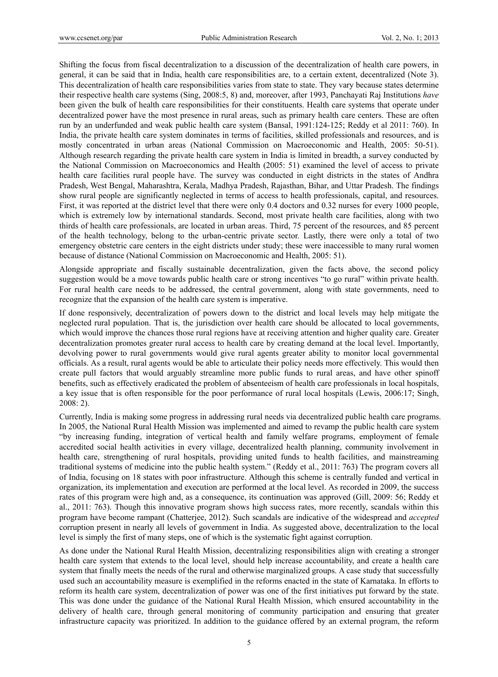Shifting the focus from fiscal decentralization to a discussion of the decentralization of health care powers, in general, it can be said that in India, health care responsibilities are, to a certain extent, decentralized (Note 3). This decentralization of health care responsibilities varies from state to state. They vary because states determine their respective health care systems (Sing, 2008:5, 8) and, moreover, after 1993, Panchayati Raj Institutions *have* been given the bulk of health care responsibilities for their constituents. Health care systems that operate under decentralized power have the most presence in rural areas, such as primary health care centers. These are often run by an underfunded and weak public health care system (Bansal, 1991:124-125; Reddy et al 2011: 760). In India, the private health care system dominates in terms of facilities, skilled professionals and resources, and is mostly concentrated in urban areas (National Commission on Macroeconomic and Health, 2005: 50-51). Although research regarding the private health care system in India is limited in breadth, a survey conducted by the National Commission on Macroeconomics and Health (2005: 51) examined the level of access to private health care facilities rural people have. The survey was conducted in eight districts in the states of Andhra Pradesh, West Bengal, Maharashtra, Kerala, Madhya Pradesh, Rajasthan, Bihar, and Uttar Pradesh. The findings show rural people are significantly neglected in terms of access to health professionals, capital, and resources. First, it was reported at the district level that there were only 0.4 doctors and 0.32 nurses for every 1000 people, which is extremely low by international standards. Second, most private health care facilities, along with two thirds of health care professionals, are located in urban areas. Third, 75 percent of the resources, and 85 percent of the health technology, belong to the urban-centric private sector. Lastly, there were only a total of two emergency obstetric care centers in the eight districts under study; these were inaccessible to many rural women because of distance (National Commission on Macroeconomic and Health, 2005: 51).

Alongside appropriate and fiscally sustainable decentralization, given the facts above, the second policy suggestion would be a move towards public health care or strong incentives "to go rural" within private health. For rural health care needs to be addressed, the central government, along with state governments, need to recognize that the expansion of the health care system is imperative.

If done responsively, decentralization of powers down to the district and local levels may help mitigate the neglected rural population. That is, the jurisdiction over health care should be allocated to local governments, which would improve the chances those rural regions have at receiving attention and higher quality care. Greater decentralization promotes greater rural access to health care by creating demand at the local level. Importantly, devolving power to rural governments would give rural agents greater ability to monitor local governmental officials. As a result, rural agents would be able to articulate their policy needs more effectively. This would then create pull factors that would arguably streamline more public funds to rural areas, and have other spinoff benefits, such as effectively eradicated the problem of absenteeism of health care professionals in local hospitals, a key issue that is often responsible for the poor performance of rural local hospitals (Lewis, 2006:17; Singh, 2008: 2).

Currently, India is making some progress in addressing rural needs via decentralized public health care programs. In 2005, the National Rural Health Mission was implemented and aimed to revamp the public health care system "by increasing funding, integration of vertical health and family welfare programs, employment of female accredited social health activities in every village, decentralized health planning, community involvement in health care, strengthening of rural hospitals, providing united funds to health facilities, and mainstreaming traditional systems of medicine into the public health system." (Reddy et al., 2011: 763) The program covers all of India, focusing on 18 states with poor infrastructure. Although this scheme is centrally funded and vertical in organization, its implementation and execution are performed at the local level. As recorded in 2009, the success rates of this program were high and, as a consequence, its continuation was approved (Gill, 2009: 56; Reddy et al., 2011: 763). Though this innovative program shows high success rates, more recently, scandals within this program have become rampant (Chatterjee, 2012). Such scandals are indicative of the widespread and *accepted*  corruption present in nearly all levels of government in India. As suggested above, decentralization to the local level is simply the first of many steps, one of which is the systematic fight against corruption.

As done under the National Rural Health Mission, decentralizing responsibilities align with creating a stronger health care system that extends to the local level, should help increase accountability, and create a health care system that finally meets the needs of the rural and otherwise marginalized groups. A case study that successfully used such an accountability measure is exemplified in the reforms enacted in the state of Karnataka. In efforts to reform its health care system, decentralization of power was one of the first initiatives put forward by the state. This was done under the guidance of the National Rural Health Mission, which ensured accountability in the delivery of health care, through general monitoring of community participation and ensuring that greater infrastructure capacity was prioritized. In addition to the guidance offered by an external program, the reform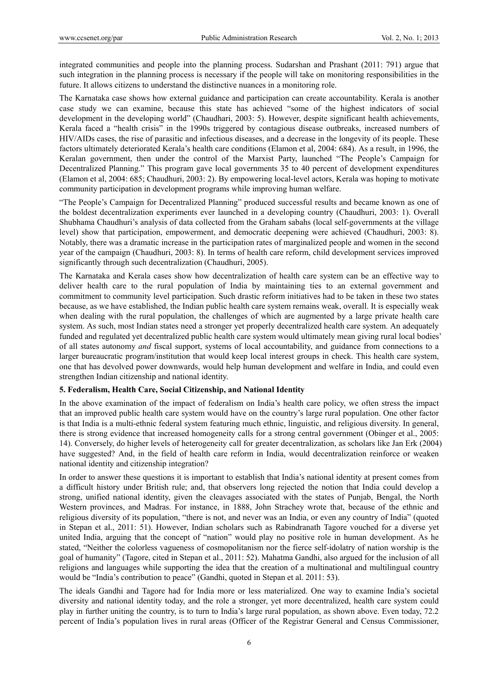integrated communities and people into the planning process. Sudarshan and Prashant (2011: 791) argue that such integration in the planning process is necessary if the people will take on monitoring responsibilities in the future. It allows citizens to understand the distinctive nuances in a monitoring role.

The Karnataka case shows how external guidance and participation can create accountability. Kerala is another case study we can examine, because this state has achieved "some of the highest indicators of social development in the developing world" (Chaudhari, 2003: 5). However, despite significant health achievements, Kerala faced a "health crisis" in the 1990s triggered by contagious disease outbreaks, increased numbers of HIV/AIDs cases, the rise of parasitic and infectious diseases, and a decrease in the longevity of its people. These factors ultimately deteriorated Kerala's health care conditions (Elamon et al, 2004: 684). As a result, in 1996, the Keralan government, then under the control of the Marxist Party, launched "The People's Campaign for Decentralized Planning." This program gave local governments 35 to 40 percent of development expenditures (Elamon et al, 2004: 685; Chaudhuri, 2003: 2). By empowering local-level actors, Kerala was hoping to motivate community participation in development programs while improving human welfare.

"The People's Campaign for Decentralized Planning" produced successful results and became known as one of the boldest decentralization experiments ever launched in a developing country (Chaudhuri, 2003: 1). Overall Shubhama Chaudhuri's analysis of data collected from the Graham sabahs (local self-governments at the village level) show that participation, empowerment, and democratic deepening were achieved (Chaudhuri, 2003: 8). Notably, there was a dramatic increase in the participation rates of marginalized people and women in the second year of the campaign (Chaudhuri, 2003: 8). In terms of health care reform, child development services improved significantly through such decentralization (Chaudhuri, 2005).

The Karnataka and Kerala cases show how decentralization of health care system can be an effective way to deliver health care to the rural population of India by maintaining ties to an external government and commitment to community level participation. Such drastic reform initiatives had to be taken in these two states because, as we have established, the Indian public health care system remains weak, overall. It is especially weak when dealing with the rural population, the challenges of which are augmented by a large private health care system. As such, most Indian states need a stronger yet properly decentralized health care system. An adequately funded and regulated yet decentralized public health care system would ultimately mean giving rural local bodies' of all states autonomy *and* fiscal support, systems of local accountability, and guidance from connections to a larger bureaucratic program/institution that would keep local interest groups in check. This health care system, one that has devolved power downwards, would help human development and welfare in India, and could even strengthen Indian citizenship and national identity.

#### **5. Federalism, Health Care, Social Citizenship, and National Identity**

In the above examination of the impact of federalism on India's health care policy, we often stress the impact that an improved public health care system would have on the country's large rural population. One other factor is that India is a multi-ethnic federal system featuring much ethnic, linguistic, and religious diversity. In general, there is strong evidence that increased homogeneity calls for a strong central government (Obinger et al., 2005: 14). Conversely, do higher levels of heterogeneity call for greater decentralization, as scholars like Jan Erk (2004) have suggested? And, in the field of health care reform in India, would decentralization reinforce or weaken national identity and citizenship integration?

In order to answer these questions it is important to establish that India's national identity at present comes from a difficult history under British rule; and, that observers long rejected the notion that India could develop a strong, unified national identity, given the cleavages associated with the states of Punjab, Bengal, the North Western provinces, and Madras. For instance, in 1888, John Strachey wrote that, because of the ethnic and religious diversity of its population, "there is not, and never was an India, or even any country of India" (quoted in Stepan et al., 2011: 51). However, Indian scholars such as Rabindranath Tagore vouched for a diverse yet united India, arguing that the concept of "nation" would play no positive role in human development. As he stated, "Neither the colorless vagueness of cosmopolitanism nor the fierce self-idolatry of nation worship is the goal of humanity" (Tagore, cited in Stepan et al., 2011: 52). Mahatma Gandhi, also argued for the inclusion of all religions and languages while supporting the idea that the creation of a multinational and multilingual country would be "India's contribution to peace" (Gandhi, quoted in Stepan et al. 2011: 53).

The ideals Gandhi and Tagore had for India more or less materialized. One way to examine India's societal diversity and national identity today, and the role a stronger, yet more decentralized, health care system could play in further uniting the country, is to turn to India's large rural population, as shown above. Even today, 72.2 percent of India's population lives in rural areas (Officer of the Registrar General and Census Commissioner,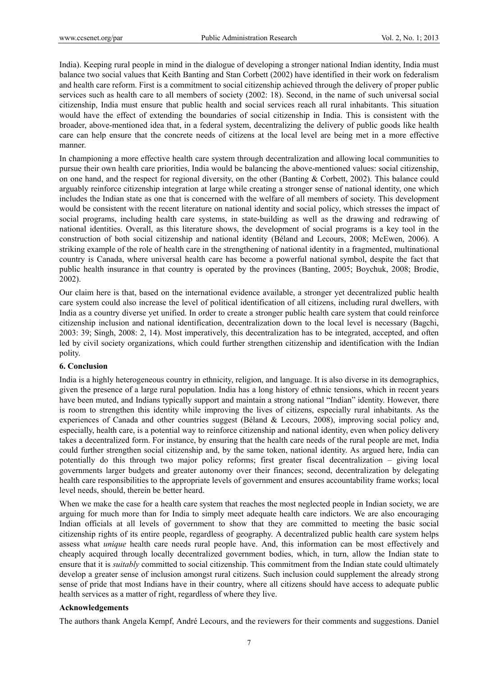India). Keeping rural people in mind in the dialogue of developing a stronger national Indian identity, India must balance two social values that Keith Banting and Stan Corbett (2002) have identified in their work on federalism and health care reform. First is a commitment to social citizenship achieved through the delivery of proper public services such as health care to all members of society (2002: 18). Second, in the name of such universal social citizenship, India must ensure that public health and social services reach all rural inhabitants. This situation would have the effect of extending the boundaries of social citizenship in India. This is consistent with the broader, above-mentioned idea that, in a federal system, decentralizing the delivery of public goods like health care can help ensure that the concrete needs of citizens at the local level are being met in a more effective manner.

In championing a more effective health care system through decentralization and allowing local communities to pursue their own health care priorities, India would be balancing the above-mentioned values: social citizenship, on one hand, and the respect for regional diversity, on the other (Banting & Corbett, 2002). This balance could arguably reinforce citizenship integration at large while creating a stronger sense of national identity, one which includes the Indian state as one that is concerned with the welfare of all members of society. This development would be consistent with the recent literature on national identity and social policy, which stresses the impact of social programs, including health care systems, in state-building as well as the drawing and redrawing of national identities. Overall, as this literature shows, the development of social programs is a key tool in the construction of both social citizenship and national identity (Béland and Lecours, 2008; McEwen, 2006). A striking example of the role of health care in the strengthening of national identity in a fragmented, multinational country is Canada, where universal health care has become a powerful national symbol, despite the fact that public health insurance in that country is operated by the provinces (Banting, 2005; Boychuk, 2008; Brodie, 2002).

Our claim here is that, based on the international evidence available, a stronger yet decentralized public health care system could also increase the level of political identification of all citizens, including rural dwellers, with India as a country diverse yet unified. In order to create a stronger public health care system that could reinforce citizenship inclusion and national identification, decentralization down to the local level is necessary (Bagchi, 2003: 39; Singh, 2008: 2, 14). Most imperatively, this decentralization has to be integrated, accepted, and often led by civil society organizations, which could further strengthen citizenship and identification with the Indian polity.

#### **6. Conclusion**

India is a highly heterogeneous country in ethnicity, religion, and language. It is also diverse in its demographics, given the presence of a large rural population. India has a long history of ethnic tensions, which in recent years have been muted, and Indians typically support and maintain a strong national "Indian" identity. However, there is room to strengthen this identity while improving the lives of citizens, especially rural inhabitants. As the experiences of Canada and other countries suggest (Béland & Lecours, 2008), improving social policy and, especially, health care, is a potential way to reinforce citizenship and national identity, even when policy delivery takes a decentralized form. For instance, by ensuring that the health care needs of the rural people are met, India could further strengthen social citizenship and, by the same token, national identity. As argued here, India can potentially do this through two major policy reforms; first greater fiscal decentralization – giving local governments larger budgets and greater autonomy over their finances; second, decentralization by delegating health care responsibilities to the appropriate levels of government and ensures accountability frame works; local level needs, should, therein be better heard.

When we make the case for a health care system that reaches the most neglected people in Indian society, we are arguing for much more than for India to simply meet adequate health care indictors. We are also encouraging Indian officials at all levels of government to show that they are committed to meeting the basic social citizenship rights of its entire people, regardless of geography. A decentralized public health care system helps assess what *unique* health care needs rural people have. And, this information can be most effectively and cheaply acquired through locally decentralized government bodies, which, in turn, allow the Indian state to ensure that it is *suitably* committed to social citizenship. This commitment from the Indian state could ultimately develop a greater sense of inclusion amongst rural citizens. Such inclusion could supplement the already strong sense of pride that most Indians have in their country, where all citizens should have access to adequate public health services as a matter of right, regardless of where they live.

## **Acknowledgements**

The authors thank Angela Kempf, André Lecours, and the reviewers for their comments and suggestions. Daniel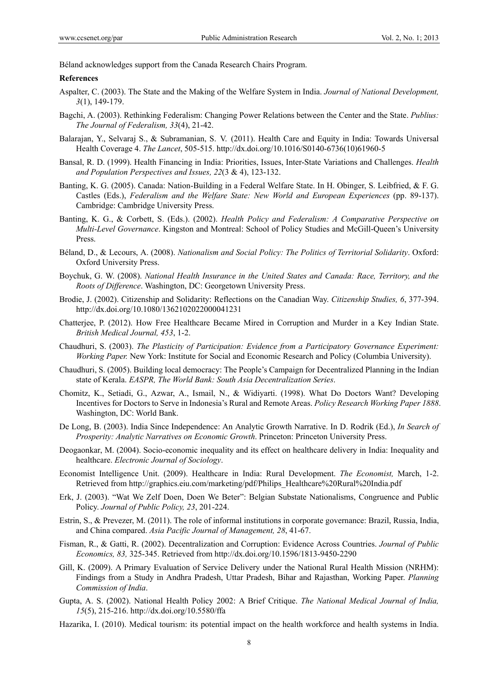Béland acknowledges support from the Canada Research Chairs Program.

#### **References**

- Aspalter, C. (2003). The State and the Making of the Welfare System in India. *Journal of National Development, 3*(1), 149-179.
- Bagchi, A. (2003). Rethinking Federalism: Changing Power Relations between the Center and the State. *Publius: The Journal of Federalism, 33*(4), 21-42.
- Balarajan, Y., Selvaraj S., & Subramanian, S. V. (2011). Health Care and Equity in India: Towards Universal Health Coverage 4. *The Lancet*, 505-515. http://dx.doi.org/10.1016/S0140-6736(10)61960-5
- Bansal, R. D. (1999). Health Financing in India: Priorities, Issues, Inter-State Variations and Challenges. *Health and Population Perspectives and Issues, 22*(3 & 4), 123-132.
- Banting, K. G. (2005). Canada: Nation-Building in a Federal Welfare State. In H. Obinger, S. Leibfried, & F. G. Castles (Eds.), *Federalism and the Welfare State: New World and European Experiences* (pp. 89-137). Cambridge: Cambridge University Press.
- Banting, K. G., & Corbett, S. (Eds.). (2002). *Health Policy and Federalism: A Comparative Perspective on Multi-Level Governance*. Kingston and Montreal: School of Policy Studies and McGill-Queen's University Press.
- Béland, D., & Lecours, A. (2008). *Nationalism and Social Policy: The Politics of Territorial Solidarity*. Oxford: Oxford University Press.
- Boychuk, G. W. (2008). *National Health Insurance in the United States and Canada: Race, Territory, and the Roots of Difference*. Washington, DC: Georgetown University Press.
- Brodie, J. (2002). Citizenship and Solidarity: Reflections on the Canadian Way. *Citizenship Studies, 6*, 377-394. http://dx.doi.org/10.1080/1362102022000041231
- Chatterjee, P. (2012). How Free Healthcare Became Mired in Corruption and Murder in a Key Indian State. *British Medical Journal, 453*, 1-2.
- Chaudhuri, S. (2003). *The Plasticity of Participation: Evidence from a Participatory Governance Experiment: Working Paper.* New York: Institute for Social and Economic Research and Policy (Columbia University).
- Chaudhuri, S. (2005). Building local democracy: The People's Campaign for Decentralized Planning in the Indian state of Kerala. *EASPR, The World Bank: South Asia Decentralization Series*.
- Chomitz, K., Setiadi, G., Azwar, A., Ismail, N., & Widiyarti. (1998). What Do Doctors Want? Developing Incentives for Doctors to Serve in Indonesia's Rural and Remote Areas. *Policy Research Working Paper 1888*. Washington, DC: World Bank.
- De Long, B. (2003). India Since Independence: An Analytic Growth Narrative. In D. Rodrik (Ed.), *In Search of Prosperity: Analytic Narratives on Economic Growth*. Princeton: Princeton University Press.
- Deogaonkar, M. (2004). Socio-economic inequality and its effect on healthcare delivery in India: Inequality and healthcare. *Electronic Journal of Sociology*.
- Economist Intelligence Unit. (2009). Healthcare in India: Rural Development. *The Economist,* March, 1-2. Retrieved from http://graphics.eiu.com/marketing/pdf/Philips\_Healthcare%20Rural%20India.pdf
- Erk, J. (2003). "Wat We Zelf Doen, Doen We Beter": Belgian Substate Nationalisms, Congruence and Public Policy. *Journal of Public Policy, 23*, 201-224.
- Estrin, S., & Prevezer, M. (2011). The role of informal institutions in corporate governance: Brazil, Russia, India, and China compared. *Asia Pacific Journal of Management, 28*, 41-67.
- Fisman, R., & Gatti, R. (2002). Decentralization and Corruption: Evidence Across Countries. *Journal of Public Economics, 83,* 325-345. Retrieved from http://dx.doi.org/10.1596/1813-9450-2290
- Gill, K. (2009). A Primary Evaluation of Service Delivery under the National Rural Health Mission (NRHM): Findings from a Study in Andhra Pradesh, Uttar Pradesh, Bihar and Rajasthan, Working Paper. *Planning Commission of India*.
- Gupta, A. S. (2002). National Health Policy 2002: A Brief Critique. *The National Medical Journal of India, 15*(5), 215-216. http://dx.doi.org/10.5580/ffa
- Hazarika, I. (2010). Medical tourism: its potential impact on the health workforce and health systems in India.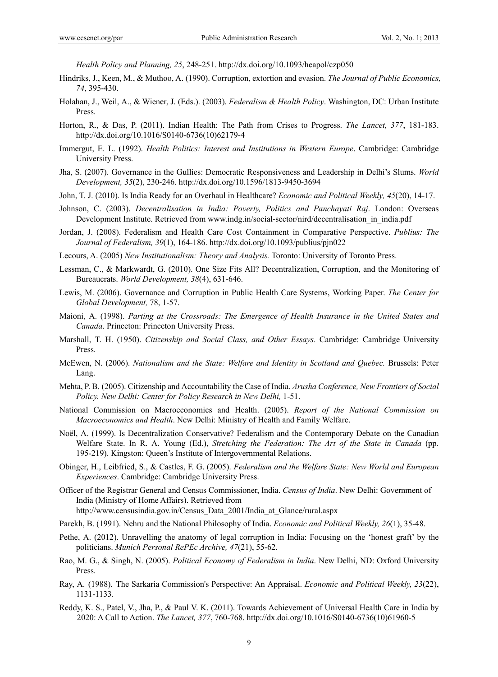*Health Policy and Planning, 25*, 248-251. http://dx.doi.org/10.1093/heapol/czp050

- Hindriks, J., Keen, M., & Muthoo, A. (1990). Corruption, extortion and evasion. *The Journal of Public Economics, 74*, 395-430.
- Holahan, J., Weil, A., & Wiener, J. (Eds.). (2003). *Federalism & Health Policy*. Washington, DC: Urban Institute Press.
- Horton, R., & Das, P. (2011). Indian Health: The Path from Crises to Progress. *The Lancet, 377*, 181-183. http://dx.doi.org/10.1016/S0140-6736(10)62179-4
- Immergut, E. L. (1992). *Health Politics: Interest and Institutions in Western Europe*. Cambridge: Cambridge University Press.
- Jha, S. (2007). Governance in the Gullies: Democratic Responsiveness and Leadership in Delhi's Slums. *World Development, 35*(2), 230-246. http://dx.doi.org/10.1596/1813-9450-3694
- John, T. J. (2010). Is India Ready for an Overhaul in Healthcare? *Economic and Political Weekly, 45*(20), 14-17.
- Johnson, C. (2003). *Decentralisation in India: Poverty, Politics and Panchayati Raj*. London: Overseas Development Institute. Retrieved from www.indg.in/social-sector/nird/decentralisation in india.pdf
- Jordan, J. (2008). Federalism and Health Care Cost Containment in Comparative Perspective. *Publius: The Journal of Federalism, 39*(1), 164-186. http://dx.doi.org/10.1093/publius/pjn022
- Lecours, A. (2005) *New Institutionalism: Theory and Analysis.* Toronto: University of Toronto Press.
- Lessman, C., & Markwardt, G. (2010). One Size Fits All? Decentralization, Corruption, and the Monitoring of Bureaucrats. *World Development, 38*(4), 631-646.
- Lewis, M. (2006). Governance and Corruption in Public Health Care Systems, Working Paper. *The Center for Global Development,* 78, 1-57.
- Maioni, A. (1998). *Parting at the Crossroads: The Emergence of Health Insurance in the United States and Canada*. Princeton: Princeton University Press.
- Marshall, T. H. (1950). *Citizenship and Social Class, and Other Essays*. Cambridge: Cambridge University Press.
- McEwen, N. (2006). *Nationalism and the State: Welfare and Identity in Scotland and Quebec.* Brussels: Peter Lang.
- Mehta, P. B. (2005). Citizenship and Accountability the Case of India. *Arusha Conference, New Frontiers of Social Policy. New Delhi: Center for Policy Research in New Delhi,* 1-51.
- National Commission on Macroeconomics and Health. (2005). *Report of the National Commission on Macroeconomics and Health*. New Delhi: Ministry of Health and Family Welfare.
- Noël, A. (1999). Is Decentralization Conservative? Federalism and the Contemporary Debate on the Canadian Welfare State. In R. A. Young (Ed.), *Stretching the Federation: The Art of the State in Canada* (pp. 195-219). Kingston: Queen's Institute of Intergovernmental Relations.
- Obinger, H., Leibfried, S., & Castles, F. G. (2005). *Federalism and the Welfare State: New World and European Experiences*. Cambridge: Cambridge University Press.
- Officer of the Registrar General and Census Commissioner, India. *Census of India*. New Delhi: Government of India (Ministry of Home Affairs). Retrieved from http://www.censusindia.gov.in/Census\_Data\_2001/India\_at\_Glance/rural.aspx
- Parekh, B. (1991). Nehru and the National Philosophy of India. *Economic and Political Weekly, 26*(1), 35-48.
- Pethe, A. (2012). Unravelling the anatomy of legal corruption in India: Focusing on the 'honest graft' by the politicians. *Munich Personal RePEc Archive, 47*(21), 55-62.
- Rao, M. G., & Singh, N. (2005). *Political Economy of Federalism in India*. New Delhi, ND: Oxford University Press.
- Ray, A. (1988). The Sarkaria Commission's Perspective: An Appraisal. *Economic and Political Weekly, 23*(22), 1131-1133.
- Reddy, K. S., Patel, V., Jha, P., & Paul V. K. (2011). Towards Achievement of Universal Health Care in India by 2020: A Call to Action. *The Lancet, 377*, 760-768. http://dx.doi.org/10.1016/S0140-6736(10)61960-5